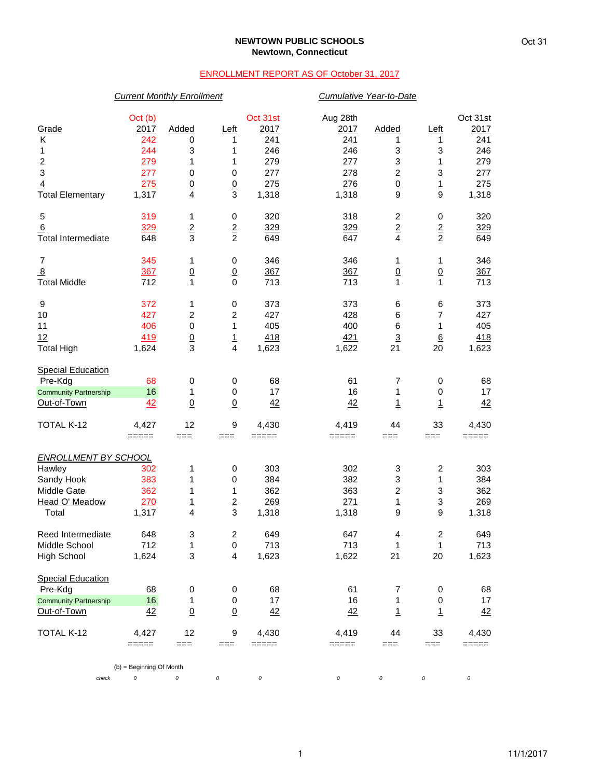## **NEWTOWN PUBLIC SCHOOLS Newtown, Connecticut**

## ENROLLMENT REPORT AS OF October 31, 2017

|                              | <b>Current Monthly Enrollment</b> |                 |                         |          | Cumulative Year-to-Date |                         |                         |          |
|------------------------------|-----------------------------------|-----------------|-------------------------|----------|-------------------------|-------------------------|-------------------------|----------|
|                              | Oct (b)                           |                 |                         | Oct 31st | Aug 28th                |                         |                         | Oct 31st |
| Grade                        | 2017                              | Added           | <u>Left</u>             | 2017     | 2017                    | Added                   | Left                    | 2017     |
| Κ                            | 242                               | 0               | 1                       | 241      | 241                     | 1                       | 1                       | 241      |
| 1                            | 244                               | 3               | 1                       | 246      | 246                     | 3                       | 3                       | 246      |
| $\overline{c}$               | 279                               | 1               | 1                       | 279      | 277                     | 3                       | 1                       | 279      |
| 3                            | 277                               | $\pmb{0}$       | $\pmb{0}$               | 277      | 278                     | $\boldsymbol{2}$        | 3                       | 277      |
| $\overline{4}$               | 275                               | $\underline{0}$ | $\underline{0}$         | 275      | 276                     | $\underline{0}$         | $\overline{1}$          | 275      |
| <b>Total Elementary</b>      | 1,317                             | 4               | 3                       | 1,318    | 1,318                   | 9                       | 9                       | 1,318    |
| 5                            | 319                               | 1               | 0                       | 320      | 318                     | $\overline{\mathbf{c}}$ | 0                       | 320      |
| 6                            | 329                               | $\overline{2}$  |                         | 329      | 329                     | $\overline{2}$          |                         | 329      |
| <b>Total Intermediate</b>    | 648                               | 3               | $\frac{2}{2}$           | 649      | 647                     | $\overline{\mathbf{4}}$ | $\frac{2}{2}$           | 649      |
| $\overline{7}$               | 345                               | 1               | 0                       | 346      | 346                     | 1                       | 1                       | 346      |
| $\underline{8}$              | 367                               | $\overline{0}$  | $\overline{0}$          | 367      | 367                     | $\underline{0}$         | $\underline{0}$         | 367      |
| <b>Total Middle</b>          | 712                               | 1               | $\mathbf 0$             | 713      | 713                     | 1                       | 1                       | 713      |
| 9                            | 372                               | 1               | 0                       | 373      | 373                     | 6                       | 6                       | 373      |
| 10                           | 427                               | $\sqrt{2}$      | $\overline{c}$          | 427      | 428                     | 6                       | $\overline{7}$          | 427      |
| 11                           | 406                               | $\pmb{0}$       | 1                       | 405      | 400                     | 6                       | 1                       | 405      |
| 12                           | 419                               |                 |                         | 418      | 421                     | $\overline{3}$          | $\underline{6}$         | 418      |
| <b>Total High</b>            | 1,624                             | $\frac{0}{3}$   | $\frac{1}{4}$           | 1,623    | 1,622                   | 21                      | 20                      | 1,623    |
|                              |                                   |                 |                         |          |                         |                         |                         |          |
| <b>Special Education</b>     |                                   |                 |                         |          |                         |                         |                         |          |
| Pre-Kdg                      | 68                                | 0               | 0                       | 68       | 61                      | 7                       | 0                       | 68       |
| <b>Community Partnership</b> | 16                                | 1               | $\,0\,$                 | 17       | 16                      | 1                       | 0                       | 17       |
| Out-of-Town                  | 42                                | $\Omega$        | $\underline{0}$         | 42       | 42                      | $\overline{1}$          | $\mathbf{1}$            | 42       |
| TOTAL K-12                   | 4,427                             | 12              | 9                       | 4,430    | 4,419                   | 44                      | 33                      | 4,430    |
|                              | $=====$                           | $==$            | $==$                    | $=====$  | =====                   | $==$                    | $==$                    | $=====$  |
| <b>ENROLLMENT BY SCHOOL</b>  |                                   |                 |                         |          |                         |                         |                         |          |
| Hawley                       | 302                               | 1               | 0                       | 303      | 302                     | 3                       | $\overline{\mathbf{c}}$ | 303      |
| Sandy Hook                   | 383                               | 1               | $\,0\,$                 | 384      | 382                     | 3                       | 1                       | 384      |
| Middle Gate                  | 362                               | 1               | 1                       | 362      | 363                     | $\overline{\mathbf{c}}$ | 3                       | 362      |
| Head O' Meadow               | 270                               | $\overline{1}$  | $\overline{2}$          | 269      | 271                     | $\overline{1}$          | $\overline{3}$          | 269      |
| Total                        | 1,317                             | 4               | 3                       | 1,318    | 1,318                   | 9                       | 9                       | 1,318    |
| Reed Intermediate            | 648                               | 3               | 2                       | 649      | 647                     | 4                       | 2                       | 649      |
| Middle School                | 712                               | 1               | $\,0\,$                 | 713      | 713                     | 1                       | 1                       | 713      |
| <b>High School</b>           | 1,624                             | 3               | $\overline{\mathbf{4}}$ | 1,623    | 1,622                   | 21                      | 20                      | 1,623    |
| <b>Special Education</b>     |                                   |                 |                         |          |                         |                         |                         |          |
| Pre-Kdg                      | 68                                | 0               | 0                       | 68       | 61                      | 7                       | 0                       | 68       |
| <b>Community Partnership</b> | 16                                | 1               | 0                       | 17       | 16                      | 1                       | 0                       | 17       |
| Out-of-Town                  | 42                                | $\underline{0}$ | $\underline{0}$         | 42       | 42                      | $\overline{1}$          | $\mathbf{1}$            | 42       |
| TOTAL K-12                   | 4,427                             | 12              | 9                       | 4,430    | 4,419                   | 44                      | 33                      | 4,430    |
|                              | $=====$                           | $==$            | $==$                    | =====    | =====                   | ===                     | ===                     | =====    |
|                              | (b) = Beginning Of Month          |                 |                         |          |                         |                         |                         |          |
| check                        | 0                                 | 0               | 0                       | $\cal O$ | 0                       | 0                       | 0                       | 0        |